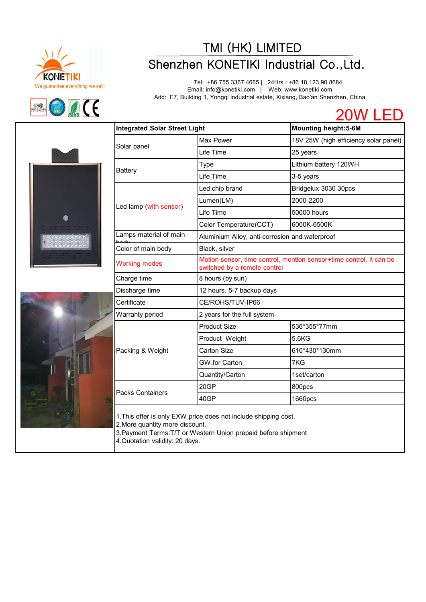



## TMI (HK) LIMITED<br>
Shenzhen KONETIKI Industrial Co.,Ltd.<br>
Tel: +86 755 3367 4665 | 24Hrs : +86 18 123 90 8684<br>
Tel: +86 755 3367 4665 | 24Hrs : +86 18 123 90 8684

Tel: +86 755 3367 4665 | 24Hrs : +86 18 123 90 8684 Email: info@konetiki.com | Web: www.konetiki.com Add: F7, Building 1, Yongqi industrial estate, Xixiang, Bao'an Shenzhen, China







| <b>Integrated Solar Street Light</b> |                                                | <b>Mounting height:5-6M</b>                                         |
|--------------------------------------|------------------------------------------------|---------------------------------------------------------------------|
|                                      | Max Power                                      | 18V 25W (high efficiency solar panel)                               |
| Solar panel                          | Life Time                                      | 25 years                                                            |
|                                      | Type                                           | Lithium battery 120WH                                               |
| <b>Battery</b>                       | Life Time                                      | 3-5 years                                                           |
| Led lamp (with sensor)               | Led chip brand                                 | Bridgelux 3030 30pcs                                                |
|                                      | Lumen(LM)                                      | 2000-2200                                                           |
|                                      | Life Time                                      | 50000 hours                                                         |
|                                      | Color Temperature(CCT)                         | 6000K-6500K                                                         |
| Lamps material of main               | Aluminium Alloy, anti-corrosion and waterproof |                                                                     |
| Color of main body                   | Black, silver                                  |                                                                     |
| <b>Working modes</b>                 | switched by a remote control                   | Motion sensor, time control, montion sensor+time control. It can be |
| Charge time                          | 8 hours (by sun)                               |                                                                     |
| Discharge time                       | 12 hours, 5-7 backup days                      |                                                                     |
| Certificate                          | CE/ROHS/TUV-IP66                               |                                                                     |
| Warranty period                      | 2 years for the full system                    |                                                                     |
| Packing & Weight                     | <b>Product Size</b>                            | 536*355*77mm                                                        |
|                                      | Product Weight                                 | 5.6KG                                                               |
|                                      | <b>Carton Size</b>                             | 610*430*130mm                                                       |
|                                      | GW.for Carton                                  | 7KG                                                                 |
|                                      | Quantity/Carton                                | 1set/carton                                                         |
|                                      | 20GP                                           | 800pcs                                                              |
| <b>Packs Containers</b>              | 40GP                                           | 1660pcs                                                             |

2.More quantity more discount.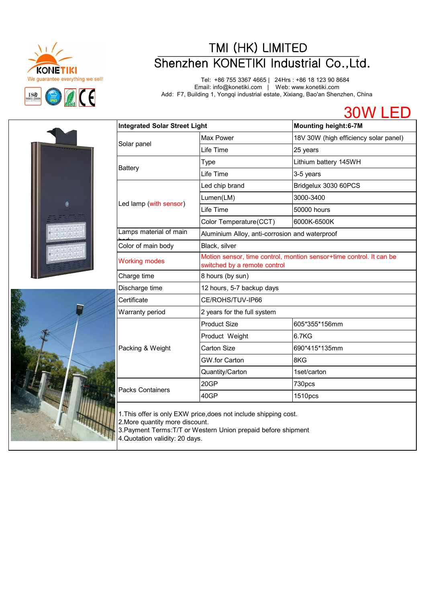

# TMI (HK) LIMITED<br>
We guarantee everything we sell!<br>
Tel: +86 755 3367 4665 | 24Hrs : +86 18 123 90 8684<br>
Email: info@konetiki.com | Web: www.konetiki.com<br>
Add: F7, Building 1, Yongqi industrial estate, Xixiang, Bao'an Shen

Tel: +86 755 3367 4665 | 24Hrs : +86 18 123 90 8684 Email: info@konetiki.com | Web: www.konetiki.com Add: F7, Building 1, Yongqi industrial estate, Xixiang, Bao'an Shenzhen, China





| Integrated Solar Street Light |                                                                                                     | <b>Mounting height:6-7M</b>           |
|-------------------------------|-----------------------------------------------------------------------------------------------------|---------------------------------------|
|                               | Max Power                                                                                           | 18V 30W (high efficiency solar panel) |
| Solar panel                   | Life Time                                                                                           | 25 years                              |
|                               | Type                                                                                                | Lithium battery 145WH                 |
| <b>Battery</b>                | Life Time                                                                                           | 3-5 years                             |
|                               | Led chip brand                                                                                      | Bridgelux 3030 60PCS                  |
|                               | Lumen(LM)                                                                                           | 3000-3400                             |
| Led lamp (with sensor)        | Life Time                                                                                           | 50000 hours                           |
|                               | Color Temperature(CCT)                                                                              | 6000K-6500K                           |
| Lamps material of main        | Aluminium Alloy, anti-corrosion and waterproof                                                      |                                       |
| Color of main body            | Black, silver                                                                                       |                                       |
| <b>Working modes</b>          | Motion sensor, time control, montion sensor+time control. It can be<br>switched by a remote control |                                       |
| Charge time                   | 8 hours (by sun)                                                                                    |                                       |
| Discharge time                | 12 hours, 5-7 backup days                                                                           |                                       |
| Certificate                   | CE/ROHS/TUV-IP66                                                                                    |                                       |
| Warranty period               | 2 years for the full system                                                                         |                                       |
|                               | <b>Product Size</b>                                                                                 | 605*355*156mm                         |
|                               | Product Weight                                                                                      | 6.7KG                                 |
| Packing & Weight              | <b>Carton Size</b>                                                                                  | 690*415*135mm                         |
|                               | GW.for Carton                                                                                       | 8KG                                   |
|                               | Quantity/Carton                                                                                     | 1set/carton                           |
| <b>Packs Containers</b>       | 20GP                                                                                                | 730pcs                                |
|                               | 40GP                                                                                                | 1510pcs                               |

2.More quantity more discount. 3.Payment Terms:T/T or Western Union prepaid before shipment 4.Quotation validity: 20 days.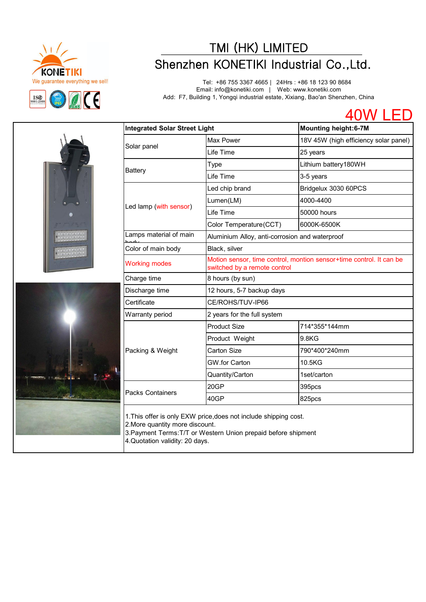

# TMI (HK) LIMITED<br>
Shenzhen KONETIKI Industrial Co.,Ltd.<br>
Tel: +86 755 3367 4665 | 24Hrs : +86 18 123 90 8684<br>
Email: info@konetiki.com | Web: www.konetiki.com<br>
Mad: F7, Building 1, Yongqi industrial estate, Xixiang, Bao'an

Tel: +86 755 3367 4665 | 24Hrs : +86 18 123 90 8684 Email: info@konetiki.com | Web: www.konetiki.com Add: F7, Building 1, Yongqi industrial estate, Xixiang, Bao'an Shenzhen, China





| <b>Integrated Solar Street Light</b> |                                                                                                     | <b>Mounting height:6-7M</b>           |
|--------------------------------------|-----------------------------------------------------------------------------------------------------|---------------------------------------|
|                                      | Max Power                                                                                           | 18V 45W (high efficiency solar panel) |
| Solar panel                          | Life Time                                                                                           | 25 years                              |
|                                      | <b>Type</b>                                                                                         | Lithium battery180WH                  |
| <b>Battery</b>                       | Life Time                                                                                           | 3-5 years                             |
|                                      | Led chip brand                                                                                      | Bridgelux 3030 60PCS                  |
|                                      | Lumen(LM)                                                                                           | 4000-4400                             |
| Led lamp (with sensor)               | Life Time                                                                                           | 50000 hours                           |
|                                      | Color Temperature(CCT)                                                                              | 6000K-6500K                           |
| Lamps material of main               | Aluminium Alloy, anti-corrosion and waterproof                                                      |                                       |
| Color of main body                   | Black, silver                                                                                       |                                       |
| <b>Working modes</b>                 | Motion sensor, time control, montion sensor+time control. It can be<br>switched by a remote control |                                       |
| Charge time                          | 8 hours (by sun)                                                                                    |                                       |
| Discharge time                       | 12 hours, 5-7 backup days                                                                           |                                       |
| Certificate                          | CE/ROHS/TUV-IP66                                                                                    |                                       |
| Warranty period                      | 2 years for the full system                                                                         |                                       |
|                                      | <b>Product Size</b>                                                                                 | 714*355*144mm                         |
| Packing & Weight                     | Product Weight                                                                                      | 9.8KG                                 |
|                                      | <b>Carton Size</b>                                                                                  | 790*400*240mm                         |
|                                      | GW.for Carton                                                                                       | 10.5KG                                |
|                                      | Quantity/Carton                                                                                     | 1set/carton                           |
|                                      | 20GP                                                                                                | 395pcs                                |
| <b>Packs Containers</b>              | 40GP                                                                                                | 825pcs                                |

1.This offer is only EXW price,does not include shipping cost.

2.More quantity more discount.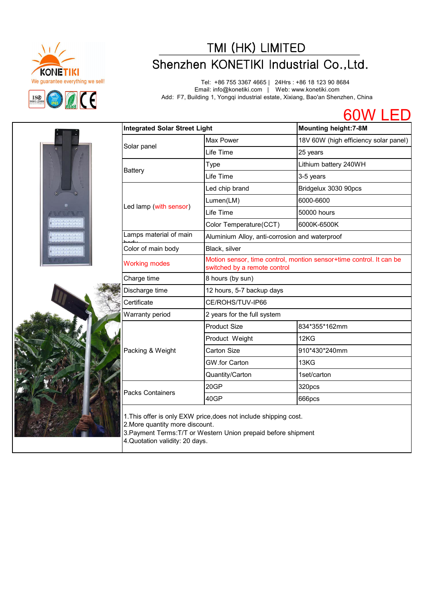

# TMI (HK) LIMITED<br>
We guarantee everything we sell!<br>
Tel: +86 755 3367 4665 | 24Hrs : +86 18 123 90 8684<br>
Email: info@konetiki.com | Web: www.konetiki.com<br>
Madd: F7, Building 1, Yongqi industrial estate, Xixiang, Bao'an She

Tel: +86 755 3367 4665 | 24Hrs : +86 18 123 90 8684 Email: info@konetiki.com | Web: www.konetiki.com Add: F7, Building 1, Yongqi industrial estate, Xixiang, Bao'an Shenzhen, China

60W LED



| <b>Integrated Solar Street Light</b> |                                                                                                     | <b>Mounting height:7-8M</b>           |
|--------------------------------------|-----------------------------------------------------------------------------------------------------|---------------------------------------|
|                                      | Max Power                                                                                           | 18V 60W (high efficiency solar panel) |
| Solar panel                          | Life Time                                                                                           | 25 years                              |
|                                      | Type                                                                                                | Lithium battery 240WH                 |
| <b>Battery</b>                       | Life Time                                                                                           | 3-5 years                             |
|                                      | Led chip brand                                                                                      | Bridgelux 3030 90pcs                  |
|                                      | Lumen(LM)                                                                                           | 6000-6600                             |
| Led lamp (with sensor)               | Life Time                                                                                           | 50000 hours                           |
|                                      | Color Temperature(CCT)                                                                              | 6000K-6500K                           |
| Lamps material of main               | Aluminium Alloy, anti-corrosion and waterproof                                                      |                                       |
| Color of main body                   | Black, silver                                                                                       |                                       |
| <b>Working modes</b>                 | Motion sensor, time control, montion sensor+time control. It can be<br>switched by a remote control |                                       |
| Charge time                          | 8 hours (by sun)                                                                                    |                                       |
| Discharge time                       | 12 hours, 5-7 backup days                                                                           |                                       |
| Certificate                          | CE/ROHS/TUV-IP66                                                                                    |                                       |
| Warranty period                      | 2 years for the full system                                                                         |                                       |
| Packing & Weight                     | <b>Product Size</b>                                                                                 | 834*355*162mm                         |
|                                      | Product Weight                                                                                      | 12KG                                  |
|                                      | Carton Size                                                                                         | 910*430*240mm                         |
|                                      | GW.for Carton                                                                                       | 13KG                                  |
|                                      | Quantity/Carton                                                                                     | 1set/carton                           |
| <b>Packs Containers</b>              | 20GP                                                                                                | 320pcs                                |
|                                      | 40GP                                                                                                | 666pcs                                |

1.This offer is only EXW price,does not include shipping cost.

2.More quantity more discount.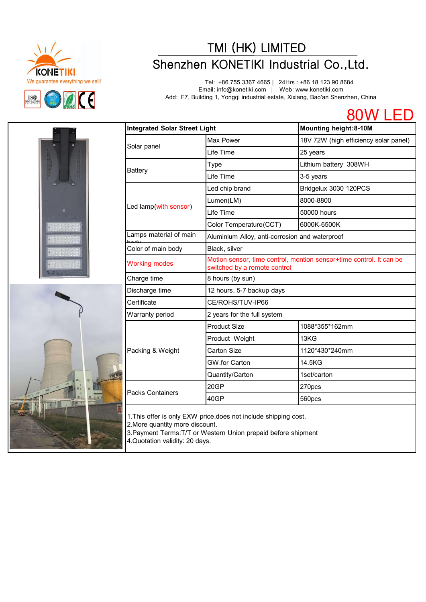

# TMI (HK) LIMITED<br>
Shenzhen KONETIKI Industrial Co.,Ltd.<br>
Tel: +86 755 3367 4665 | 24Hrs : +86 18 123 90 8684<br>
Email: info@konetiki.com | Web: www.konetiki.com<br>
Add: F7, Building 1, Yongqi industrial estate, Xixiang, Bao'an

Tel: +86 755 3367 4665 | 24Hrs : +86 18 123 90 8684 Email: info@konetiki.com | Web: www.konetiki.com Add: F7, Building 1, Yongqi industrial estate, Xixiang, Bao'an Shenzhen, China

80W LED





| <b>Integrated Solar Street Light</b> |                                                                                                     | <b>Mounting height:8-10M</b>          |
|--------------------------------------|-----------------------------------------------------------------------------------------------------|---------------------------------------|
|                                      | Max Power                                                                                           | 18V 72W (high efficiency solar panel) |
| Solar panel                          | Life Time                                                                                           | 25 years                              |
|                                      | Type                                                                                                | Lithium battery 308WH                 |
| <b>Battery</b>                       | Life Time                                                                                           | 3-5 years                             |
|                                      | Led chip brand                                                                                      | Bridgelux 3030 120PCS                 |
|                                      | Lumen(LM)                                                                                           | 8000-8800                             |
| Led lamp(with sensor)                | Life Time                                                                                           | 50000 hours                           |
|                                      | Color Temperature(CCT)                                                                              | 6000K-6500K                           |
| Lamps material of main               | Aluminium Alloy, anti-corrosion and waterproof                                                      |                                       |
| Color of main body                   | Black, silver                                                                                       |                                       |
| <b>Working modes</b>                 | Motion sensor, time control, montion sensor+time control. It can be<br>switched by a remote control |                                       |
| Charge time                          | 8 hours (by sun)                                                                                    |                                       |
| Discharge time                       | 12 hours, 5-7 backup days                                                                           |                                       |
| Certificate                          | CE/ROHS/TUV-IP66                                                                                    |                                       |
| Warranty period                      | 2 years for the full system                                                                         |                                       |
|                                      | <b>Product Size</b>                                                                                 | 1088*355*162mm                        |
| Packing & Weight                     | Product Weight                                                                                      | 13KG                                  |
|                                      | Carton Size                                                                                         | 1120*430*240mm                        |
|                                      | GW.for Carton                                                                                       | 14.5KG                                |
|                                      | Quantity/Carton                                                                                     | 1set/carton                           |
|                                      | 20GP                                                                                                | 270pcs                                |
| <b>Packs Containers</b>              | 40GP                                                                                                | 560pcs                                |

1.This offer is only EXW price,does not include shipping cost.

2.More quantity more discount.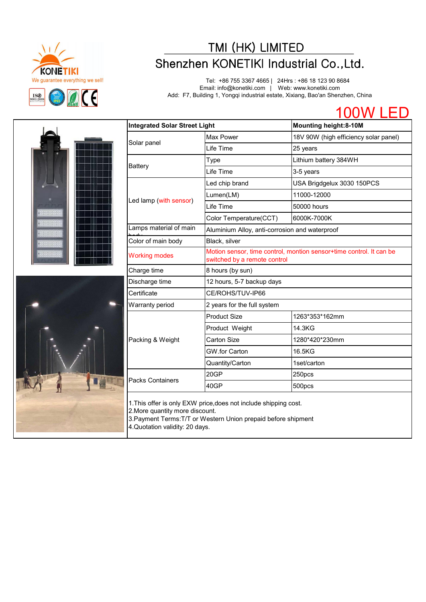

# TMI (HK) LIMITED<br>
We guarantee everything we sell!<br>
Tel: +86 755 3367 4665 | 24Hrs : +86 18 123 90 8684<br>
Email: info@konetiki.com | Web: www.konetiki.com<br>
Add: F7, Building 1, Yongqi industrial estate, Xixiang, Bao'an Shen

Tel: +86 755 3367 4665 | 24Hrs : +86 18 123 90 8684 Email: info@konetiki.com | Web: www.konetiki.com Add: F7, Building 1, Yongqi industrial estate, Xixiang, Bao'an Shenzhen, China



|  | <b>Integrated Solar Street Light</b> |                                                                                                     | <b>Mounting height:8-10M</b>          |
|--|--------------------------------------|-----------------------------------------------------------------------------------------------------|---------------------------------------|
|  | Solar panel                          | Max Power                                                                                           | 18V 90W (high efficiency solar panel) |
|  |                                      | Life Time                                                                                           | 25 years                              |
|  | <b>Battery</b>                       | Type                                                                                                | Lithium battery 384WH                 |
|  |                                      | Life Time                                                                                           | 3-5 years                             |
|  |                                      | Led chip brand                                                                                      | USA Brigdgelux 3030 150PCS            |
|  |                                      | Lumen(LM)                                                                                           | 11000-12000                           |
|  | Led lamp (with sensor)               | Life Time                                                                                           | 50000 hours                           |
|  |                                      | Color Temperature(CCT)                                                                              | 6000K-7000K                           |
|  | Lamps material of main               | Aluminium Alloy, anti-corrosion and waterproof                                                      |                                       |
|  | Color of main body                   | Black, silver                                                                                       |                                       |
|  | <b>Working modes</b>                 | Motion sensor, time control, montion sensor+time control. It can be<br>switched by a remote control |                                       |
|  | Charge time                          | 8 hours (by sun)                                                                                    |                                       |
|  | Discharge time                       | 12 hours, 5-7 backup days                                                                           |                                       |
|  | Certificate                          | CE/ROHS/TUV-IP66                                                                                    |                                       |
|  | Warranty period                      | 2 years for the full system                                                                         |                                       |
|  |                                      | <b>Product Size</b>                                                                                 | 1263*353*162mm                        |
|  | Packing & Weight                     | Product Weight                                                                                      | 14.3KG                                |
|  |                                      | <b>Carton Size</b>                                                                                  | 1280*420*230mm                        |
|  |                                      | GW.for Carton                                                                                       | 16.5KG                                |
|  |                                      | Quantity/Carton                                                                                     | 1set/carton                           |
|  | Packs Containers                     | 20GP                                                                                                | 250pcs                                |
|  |                                      | 40GP                                                                                                | 500pcs                                |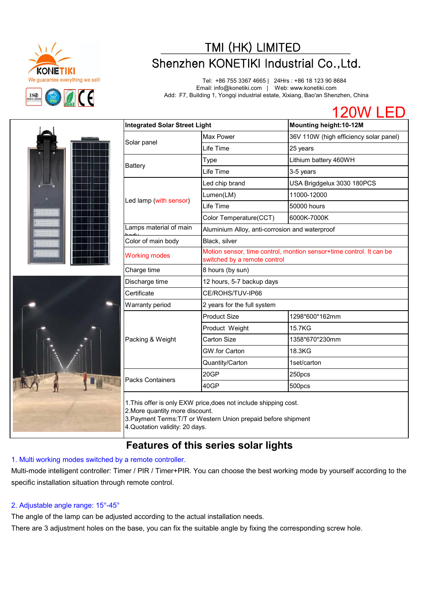

# TMI (HK) LIMITED<br>
We guarantee everything we sell!<br>
Tel: +86 755 3367 4665 | 24Hrs : +86 18 123 90 8684<br>
Email: info@konetiki.com | Web: www.konetiki.com<br>
Add: F7, Building 1, Yongqi industrial estate, Xixiang, Bao'an Shen

Tel: +86 755 3367 4665 | 24Hrs : +86 18 123 90 8684 Email: info@konetiki.com | Web: www.konetiki.com Add: F7, Building 1, Yongqi industrial estate, Xixiang, Bao'an Shenzhen, China





| <b>Integrated Solar Street Light</b> |                                                                                                     | Mounting height:10-12M                 |  |
|--------------------------------------|-----------------------------------------------------------------------------------------------------|----------------------------------------|--|
|                                      | Max Power                                                                                           | 36V 110W (high efficiency solar panel) |  |
| Solar panel                          | Life Time                                                                                           | 25 years                               |  |
|                                      | Type                                                                                                | Lithium battery 460WH                  |  |
| <b>Battery</b>                       | Life Time                                                                                           | 3-5 years                              |  |
|                                      | Led chip brand                                                                                      | USA Brigdgelux 3030 180PCS             |  |
|                                      | Lumen(LM)                                                                                           | 11000-12000                            |  |
| Led lamp (with sensor)               | Life Time                                                                                           | 50000 hours                            |  |
|                                      | Color Temperature(CCT)                                                                              | 6000K-7000K                            |  |
| Lamps material of main               | Aluminium Alloy, anti-corrosion and waterproof                                                      |                                        |  |
| Color of main body                   | Black, silver                                                                                       |                                        |  |
| <b>Working modes</b>                 | Motion sensor, time control, montion sensor+time control. It can be<br>switched by a remote control |                                        |  |
| Charge time                          | 8 hours (by sun)                                                                                    |                                        |  |
| Discharge time                       | 12 hours, 5-7 backup days                                                                           |                                        |  |
| Certificate                          | CE/ROHS/TUV-IP66                                                                                    |                                        |  |
| Warranty period                      | 2 years for the full system                                                                         |                                        |  |
| Packing & Weight                     | Product Size                                                                                        | 1298*600*162mm                         |  |
|                                      | Product Weight                                                                                      | 15.7KG                                 |  |
|                                      | Carton Size                                                                                         | 1358*670*230mm                         |  |
|                                      | GW.for Carton                                                                                       | 18.3KG                                 |  |
|                                      | Quantity/Carton                                                                                     | 1set/carton                            |  |
| <b>Packs Containers</b>              | 20GP                                                                                                | 250pcs                                 |  |
|                                      | 40GP                                                                                                | 500pcs                                 |  |

2.More quantity more discount.

3.Payment Terms:T/T or Western Union prepaid before shipment 4.Quotation validity: 20 days.

## **Features of this series solar lights**

## 1. Multi working modes switched by a remote controller.

Multi-mode intelligent controller: Timer / PIR / Timer+PIR. You can choose the best working mode by yourself according to the specific installation situation through remote control.

## 2. Adjustable angle range: 15°-45°

The angle of the lamp can be adjusted according to the actual installation needs.

There are 3 adjustment holes on the base, you can fix the suitable angle by fixing the corresponding screw hole.